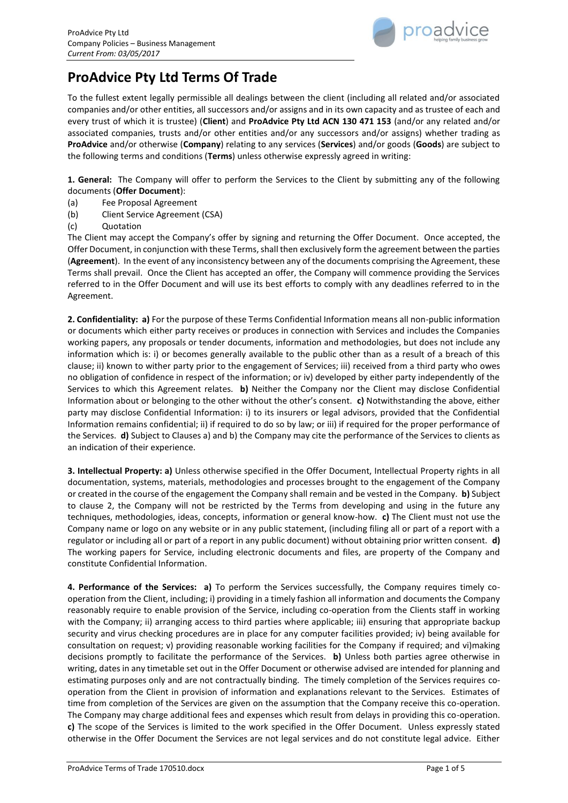

## **ProAdvice Pty Ltd Terms Of Trade**

To the fullest extent legally permissible all dealings between the client (including all related and/or associated companies and/or other entities, all successors and/or assigns and in its own capacity and as trustee of each and every trust of which it is trustee) (**Client**) and **ProAdvice Pty Ltd ACN 130 471 153** (and/or any related and/or associated companies, trusts and/or other entities and/or any successors and/or assigns) whether trading as **ProAdvice** and/or otherwise (**Company**) relating to any services (**Services**) and/or goods (**Goods**) are subject to the following terms and conditions (**Terms**) unless otherwise expressly agreed in writing:

**1. General:** The Company will offer to perform the Services to the Client by submitting any of the following documents (**Offer Document**):

- (a) Fee Proposal Agreement
- (b) Client Service Agreement (CSA)
- (c) Quotation

The Client may accept the Company's offer by signing and returning the Offer Document. Once accepted, the Offer Document, in conjunction with these Terms, shall then exclusively form the agreement between the parties (**Agreement**). In the event of any inconsistency between any of the documents comprising the Agreement, these Terms shall prevail. Once the Client has accepted an offer, the Company will commence providing the Services referred to in the Offer Document and will use its best efforts to comply with any deadlines referred to in the Agreement.

**2. Confidentiality: a)** For the purpose of these Terms Confidential Information means all non-public information or documents which either party receives or produces in connection with Services and includes the Companies working papers, any proposals or tender documents, information and methodologies, but does not include any information which is: i) or becomes generally available to the public other than as a result of a breach of this clause; ii) known to wither party prior to the engagement of Services; iii) received from a third party who owes no obligation of confidence in respect of the information; or iv) developed by either party independently of the Services to which this Agreement relates. **b)** Neither the Company nor the Client may disclose Confidential Information about or belonging to the other without the other's consent. **c)** Notwithstanding the above, either party may disclose Confidential Information: i) to its insurers or legal advisors, provided that the Confidential Information remains confidential; ii) if required to do so by law; or iii) if required for the proper performance of the Services. **d)** Subject to Clauses a) and b) the Company may cite the performance of the Services to clients as an indication of their experience.

**3. Intellectual Property: a)** Unless otherwise specified in the Offer Document, Intellectual Property rights in all documentation, systems, materials, methodologies and processes brought to the engagement of the Company or created in the course of the engagement the Company shall remain and be vested in the Company. **b)** Subject to clause 2, the Company will not be restricted by the Terms from developing and using in the future any techniques, methodologies, ideas, concepts, information or general know-how. **c)** The Client must not use the Company name or logo on any website or in any public statement, (including filing all or part of a report with a regulator or including all or part of a report in any public document) without obtaining prior written consent. **d)** The working papers for Service, including electronic documents and files, are property of the Company and constitute Confidential Information.

**4. Performance of the Services: a)** To perform the Services successfully, the Company requires timely cooperation from the Client, including; i) providing in a timely fashion all information and documents the Company reasonably require to enable provision of the Service, including co-operation from the Clients staff in working with the Company; ii) arranging access to third parties where applicable; iii) ensuring that appropriate backup security and virus checking procedures are in place for any computer facilities provided; iv) being available for consultation on request; v) providing reasonable working facilities for the Company if required; and vi)making decisions promptly to facilitate the performance of the Services. **b)** Unless both parties agree otherwise in writing, dates in any timetable set out in the Offer Document or otherwise advised are intended for planning and estimating purposes only and are not contractually binding. The timely completion of the Services requires cooperation from the Client in provision of information and explanations relevant to the Services. Estimates of time from completion of the Services are given on the assumption that the Company receive this co-operation. The Company may charge additional fees and expenses which result from delays in providing this co-operation. **c)** The scope of the Services is limited to the work specified in the Offer Document. Unless expressly stated otherwise in the Offer Document the Services are not legal services and do not constitute legal advice. Either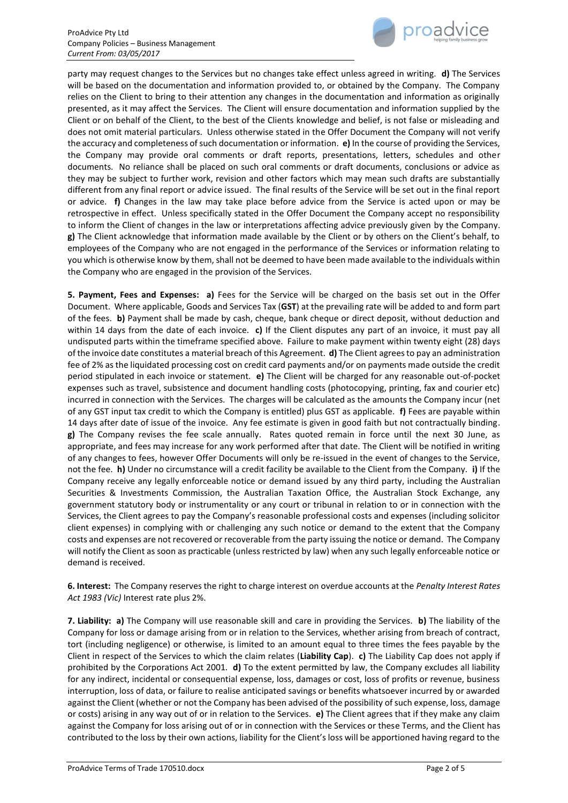

party may request changes to the Services but no changes take effect unless agreed in writing. **d)** The Services will be based on the documentation and information provided to, or obtained by the Company. The Company relies on the Client to bring to their attention any changes in the documentation and information as originally presented, as it may affect the Services. The Client will ensure documentation and information supplied by the Client or on behalf of the Client, to the best of the Clients knowledge and belief, is not false or misleading and does not omit material particulars. Unless otherwise stated in the Offer Document the Company will not verify the accuracy and completeness of such documentation or information. **e)** In the course of providing the Services, the Company may provide oral comments or draft reports, presentations, letters, schedules and other documents. No reliance shall be placed on such oral comments or draft documents, conclusions or advice as they may be subject to further work, revision and other factors which may mean such drafts are substantially different from any final report or advice issued. The final results of the Service will be set out in the final report or advice. **f)** Changes in the law may take place before advice from the Service is acted upon or may be retrospective in effect. Unless specifically stated in the Offer Document the Company accept no responsibility to inform the Client of changes in the law or interpretations affecting advice previously given by the Company. **g)** The Client acknowledge that information made available by the Client or by others on the Client's behalf, to employees of the Company who are not engaged in the performance of the Services or information relating to you which is otherwise know by them, shall not be deemed to have been made available to the individuals within the Company who are engaged in the provision of the Services.

**5. Payment, Fees and Expenses: a)** Fees for the Service will be charged on the basis set out in the Offer Document. Where applicable, Goods and Services Tax (**GST**) at the prevailing rate will be added to and form part of the fees. **b)** Payment shall be made by cash, cheque, bank cheque or direct deposit, without deduction and within 14 days from the date of each invoice. **c)** If the Client disputes any part of an invoice, it must pay all undisputed parts within the timeframe specified above. Failure to make payment within twenty eight (28) days of the invoice date constitutes a material breach of this Agreement. **d)** The Client agrees to pay an administration fee of 2% as the liquidated processing cost on credit card payments and/or on payments made outside the credit period stipulated in each invoice or statement. **e)** The Client will be charged for any reasonable out-of-pocket expenses such as travel, subsistence and document handling costs (photocopying, printing, fax and courier etc) incurred in connection with the Services. The charges will be calculated as the amounts the Company incur (net of any GST input tax credit to which the Company is entitled) plus GST as applicable. **f)** Fees are payable within 14 days after date of issue of the invoice. Any fee estimate is given in good faith but not contractually binding. **g)** The Company revises the fee scale annually. Rates quoted remain in force until the next 30 June, as appropriate, and fees may increase for any work performed after that date. The Client will be notified in writing of any changes to fees, however Offer Documents will only be re-issued in the event of changes to the Service, not the fee. **h)** Under no circumstance will a credit facility be available to the Client from the Company. **i)** If the Company receive any legally enforceable notice or demand issued by any third party, including the Australian Securities & Investments Commission, the Australian Taxation Office, the Australian Stock Exchange, any government statutory body or instrumentality or any court or tribunal in relation to or in connection with the Services, the Client agrees to pay the Company's reasonable professional costs and expenses (including solicitor client expenses) in complying with or challenging any such notice or demand to the extent that the Company costs and expenses are not recovered or recoverable from the party issuing the notice or demand. The Company will notify the Client as soon as practicable (unless restricted by law) when any such legally enforceable notice or demand is received.

**6. Interest:** The Company reserves the right to charge interest on overdue accounts at the *Penalty Interest Rates Act 1983 (Vic)* Interest rate plus 2%.

**7. Liability: a)** The Company will use reasonable skill and care in providing the Services. **b)** The liability of the Company for loss or damage arising from or in relation to the Services, whether arising from breach of contract, tort (including negligence) or otherwise, is limited to an amount equal to three times the fees payable by the Client in respect of the Services to which the claim relates (**Liability Cap**). **c)** The Liability Cap does not apply if prohibited by the Corporations Act 2001. **d)** To the extent permitted by law, the Company excludes all liability for any indirect, incidental or consequential expense, loss, damages or cost, loss of profits or revenue, business interruption, loss of data, or failure to realise anticipated savings or benefits whatsoever incurred by or awarded against the Client (whether or not the Company has been advised of the possibility of such expense, loss, damage or costs) arising in any way out of or in relation to the Services. **e)** The Client agrees that if they make any claim against the Company for loss arising out of or in connection with the Services or these Terms, and the Client has contributed to the loss by their own actions, liability for the Client's loss will be apportioned having regard to the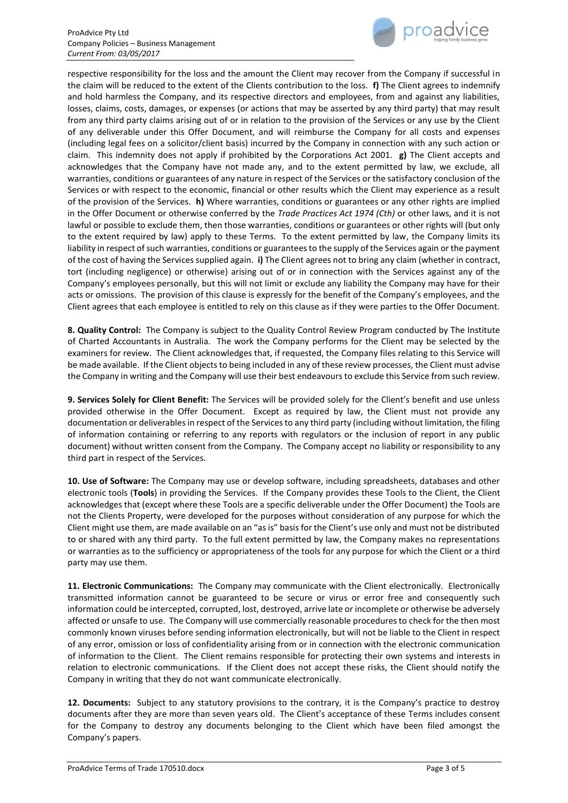

respective responsibility for the loss and the amount the Client may recover from the Company if successful in the claim will be reduced to the extent of the Clients contribution to the loss. **f)** The Client agrees to indemnify and hold harmless the Company, and its respective directors and employees, from and against any liabilities, losses, claims, costs, damages, or expenses (or actions that may be asserted by any third party) that may result from any third party claims arising out of or in relation to the provision of the Services or any use by the Client of any deliverable under this Offer Document, and will reimburse the Company for all costs and expenses (including legal fees on a solicitor/client basis) incurred by the Company in connection with any such action or claim. This indemnity does not apply if prohibited by the Corporations Act 2001. **g)** The Client accepts and acknowledges that the Company have not made any, and to the extent permitted by law, we exclude, all warranties, conditions or guarantees of any nature in respect of the Services or the satisfactory conclusion of the Services or with respect to the economic, financial or other results which the Client may experience as a result of the provision of the Services. **h)** Where warranties, conditions or guarantees or any other rights are implied in the Offer Document or otherwise conferred by the *Trade Practices Act 1974 (Cth)* or other laws, and it is not lawful or possible to exclude them, then those warranties, conditions or guarantees or other rights will (but only to the extent required by law) apply to these Terms. To the extent permitted by law, the Company limits its liability in respect of such warranties, conditions or guarantees to the supply of the Services again or the payment of the cost of having the Services supplied again. **i)** The Client agrees not to bring any claim (whether in contract, tort (including negligence) or otherwise) arising out of or in connection with the Services against any of the Company's employees personally, but this will not limit or exclude any liability the Company may have for their acts or omissions. The provision of this clause is expressly for the benefit of the Company's employees, and the Client agrees that each employee is entitled to rely on this clause as if they were parties to the Offer Document.

**8. Quality Control:** The Company is subject to the Quality Control Review Program conducted by The Institute of Charted Accountants in Australia. The work the Company performs for the Client may be selected by the examiners for review. The Client acknowledges that, if requested, the Company files relating to this Service will be made available. If the Client objects to being included in any of these review processes, the Client must advise the Company in writing and the Company will use their best endeavours to exclude this Service from such review.

**9. Services Solely for Client Benefit:** The Services will be provided solely for the Client's benefit and use unless provided otherwise in the Offer Document. Except as required by law, the Client must not provide any documentation or deliverables in respect of the Services to any third party (including without limitation, the filing of information containing or referring to any reports with regulators or the inclusion of report in any public document) without written consent from the Company. The Company accept no liability or responsibility to any third part in respect of the Services.

**10. Use of Software:** The Company may use or develop software, including spreadsheets, databases and other electronic tools (**Tools**) in providing the Services. If the Company provides these Tools to the Client, the Client acknowledges that (except where these Tools are a specific deliverable under the Offer Document) the Tools are not the Clients Property, were developed for the purposes without consideration of any purpose for which the Client might use them, are made available on an "as is" basis for the Client's use only and must not be distributed to or shared with any third party. To the full extent permitted by law, the Company makes no representations or warranties as to the sufficiency or appropriateness of the tools for any purpose for which the Client or a third party may use them.

**11. Electronic Communications:** The Company may communicate with the Client electronically. Electronically transmitted information cannot be guaranteed to be secure or virus or error free and consequently such information could be intercepted, corrupted, lost, destroyed, arrive late or incomplete or otherwise be adversely affected or unsafe to use. The Company will use commercially reasonable procedures to check for the then most commonly known viruses before sending information electronically, but will not be liable to the Client in respect of any error, omission or loss of confidentiality arising from or in connection with the electronic communication of information to the Client. The Client remains responsible for protecting their own systems and interests in relation to electronic communications. If the Client does not accept these risks, the Client should notify the Company in writing that they do not want communicate electronically.

**12. Documents:** Subject to any statutory provisions to the contrary, it is the Company's practice to destroy documents after they are more than seven years old. The Client's acceptance of these Terms includes consent for the Company to destroy any documents belonging to the Client which have been filed amongst the Company's papers.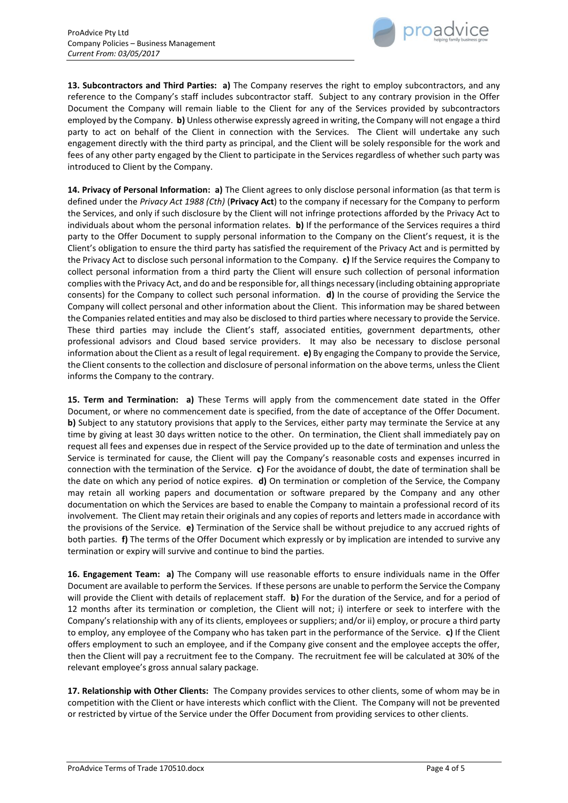

**13. Subcontractors and Third Parties: a)** The Company reserves the right to employ subcontractors, and any reference to the Company's staff includes subcontractor staff. Subject to any contrary provision in the Offer Document the Company will remain liable to the Client for any of the Services provided by subcontractors employed by the Company. **b)** Unless otherwise expressly agreed in writing, the Company will not engage a third party to act on behalf of the Client in connection with the Services. The Client will undertake any such engagement directly with the third party as principal, and the Client will be solely responsible for the work and fees of any other party engaged by the Client to participate in the Services regardless of whether such party was introduced to Client by the Company.

**14. Privacy of Personal Information: a)** The Client agrees to only disclose personal information (as that term is defined under the *Privacy Act 1988 (Cth)* (**Privacy Act**) to the company if necessary for the Company to perform the Services, and only if such disclosure by the Client will not infringe protections afforded by the Privacy Act to individuals about whom the personal information relates. **b)** If the performance of the Services requires a third party to the Offer Document to supply personal information to the Company on the Client's request, it is the Client's obligation to ensure the third party has satisfied the requirement of the Privacy Act and is permitted by the Privacy Act to disclose such personal information to the Company. **c)** If the Service requires the Company to collect personal information from a third party the Client will ensure such collection of personal information complies with the Privacy Act, and do and be responsible for, all things necessary (including obtaining appropriate consents) for the Company to collect such personal information. **d)** In the course of providing the Service the Company will collect personal and other information about the Client. This information may be shared between the Companies related entities and may also be disclosed to third parties where necessary to provide the Service. These third parties may include the Client's staff, associated entities, government departments, other professional advisors and Cloud based service providers. It may also be necessary to disclose personal information about the Client as a result of legal requirement. **e)** By engaging the Company to provide the Service, the Client consents to the collection and disclosure of personal information on the above terms, unless the Client informs the Company to the contrary.

**15. Term and Termination: a)** These Terms will apply from the commencement date stated in the Offer Document, or where no commencement date is specified, from the date of acceptance of the Offer Document. **b)** Subject to any statutory provisions that apply to the Services, either party may terminate the Service at any time by giving at least 30 days written notice to the other. On termination, the Client shall immediately pay on request all fees and expenses due in respect of the Service provided up to the date of termination and unless the Service is terminated for cause, the Client will pay the Company's reasonable costs and expenses incurred in connection with the termination of the Service. **c)** For the avoidance of doubt, the date of termination shall be the date on which any period of notice expires. **d)** On termination or completion of the Service, the Company may retain all working papers and documentation or software prepared by the Company and any other documentation on which the Services are based to enable the Company to maintain a professional record of its involvement. The Client may retain their originals and any copies of reports and letters made in accordance with the provisions of the Service. **e)** Termination of the Service shall be without prejudice to any accrued rights of both parties. **f)** The terms of the Offer Document which expressly or by implication are intended to survive any termination or expiry will survive and continue to bind the parties.

**16. Engagement Team: a)** The Company will use reasonable efforts to ensure individuals name in the Offer Document are available to perform the Services. If these persons are unable to perform the Service the Company will provide the Client with details of replacement staff. **b)** For the duration of the Service, and for a period of 12 months after its termination or completion, the Client will not; i) interfere or seek to interfere with the Company's relationship with any of its clients, employees or suppliers; and/or ii) employ, or procure a third party to employ, any employee of the Company who has taken part in the performance of the Service. **c)** If the Client offers employment to such an employee, and if the Company give consent and the employee accepts the offer, then the Client will pay a recruitment fee to the Company. The recruitment fee will be calculated at 30% of the relevant employee's gross annual salary package.

**17. Relationship with Other Clients:** The Company provides services to other clients, some of whom may be in competition with the Client or have interests which conflict with the Client. The Company will not be prevented or restricted by virtue of the Service under the Offer Document from providing services to other clients.